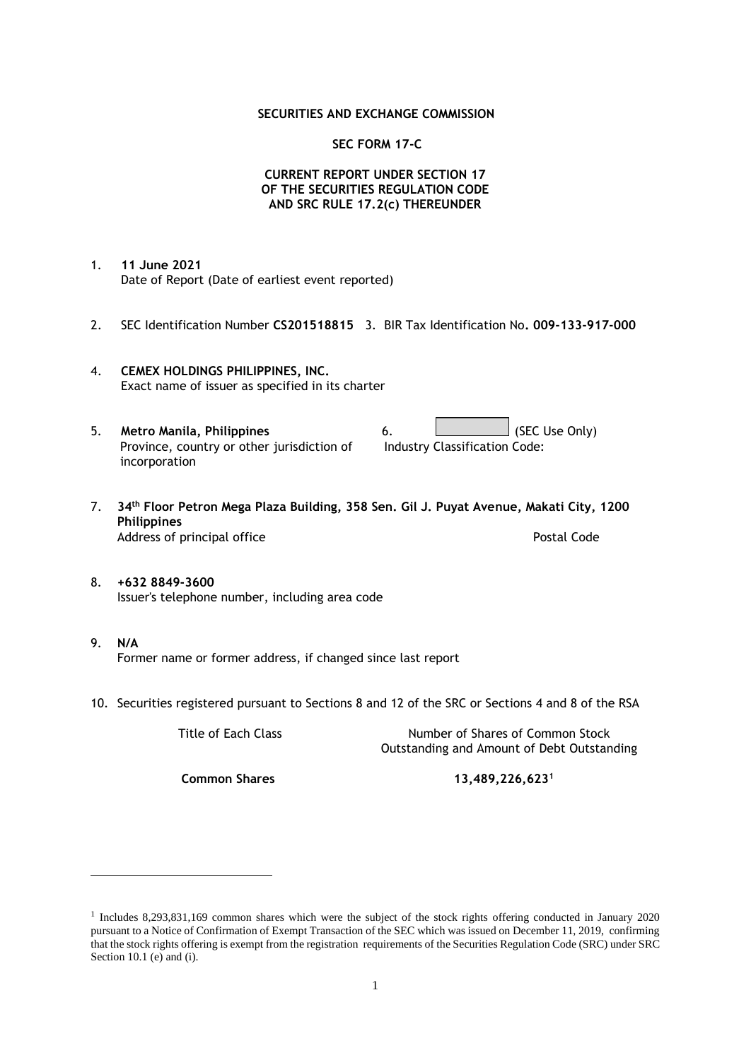### **SECURITIES AND EXCHANGE COMMISSION**

### **SEC FORM 17-C**

## **CURRENT REPORT UNDER SECTION 17 OF THE SECURITIES REGULATION CODE AND SRC RULE 17.2(c) THEREUNDER**

- 1. **11 June 2021** Date of Report (Date of earliest event reported)
- 2. SEC Identification Number **CS201518815** 3. BIR Tax Identification No**. 009-133-917-000**
- 4. **CEMEX HOLDINGS PHILIPPINES, INC.** Exact name of issuer as specified in its charter
- 5. **Metro Manila, Philippines** 6. **Consumers 6.** (SEC Use Only) Province, country or other jurisdiction of incorporation Industry Classification Code:
- 7. **34th Floor Petron Mega Plaza Building, 358 Sen. Gil J. Puyat Avenue, Makati City, 1200 Philippines** Address of principal office **Postal Code** Postal Code
- 8. **+632 8849-3600** Issuer's telephone number, including area code
- 9. **N/A** Former name or former address, if changed since last report
- 10. Securities registered pursuant to Sections 8 and 12 of the SRC or Sections 4 and 8 of the RSA

Title of Each Class Number of Shares of Common Stock Outstanding and Amount of Debt Outstanding

**Common Shares 13,489,226,623<sup>1</sup>**

<sup>1</sup> Includes 8,293,831,169 common shares which were the subject of the stock rights offering conducted in January 2020 pursuant to a Notice of Confirmation of Exempt Transaction of the SEC which was issued on December 11, 2019, confirming that the stock rights offering is exempt from the registration requirements of the Securities Regulation Code (SRC) under SRC Section 10.1 (e) and (i).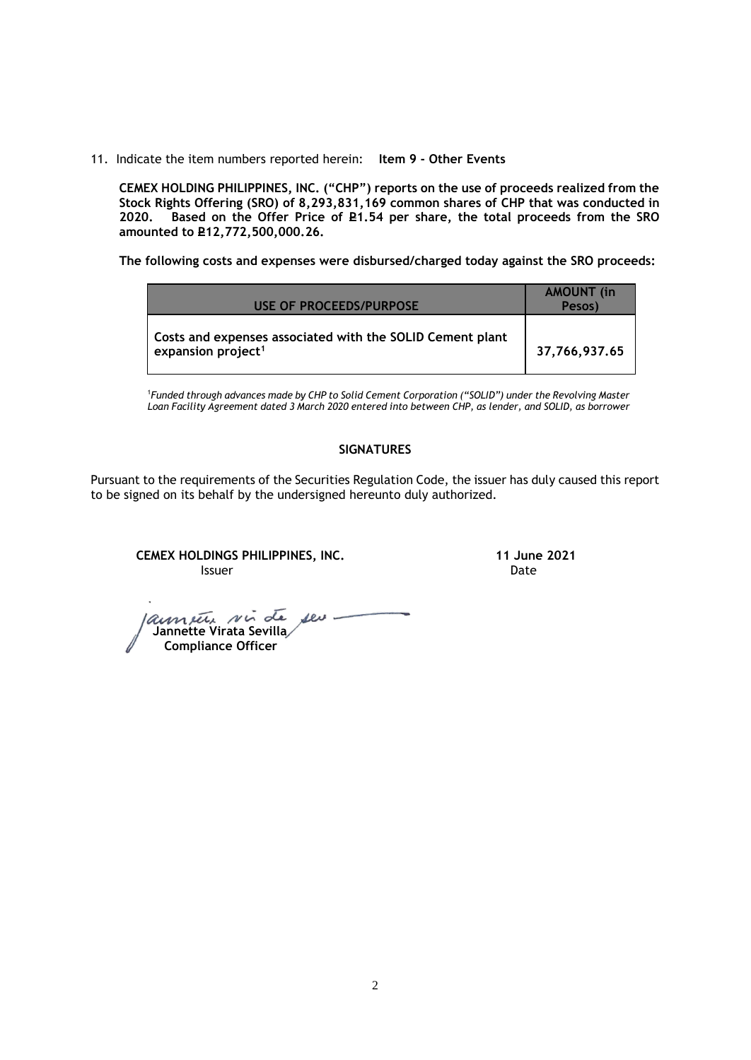11. Indicate the item numbers reported herein: **Item 9 - Other Events**

**CEMEX HOLDING PHILIPPINES, INC. ("CHP") reports on the use of proceeds realized from the Stock Rights Offering (SRO) of 8,293,831,169 common shares of CHP that was conducted in**  Based on the Offer Price of £1.54 per share, the total proceeds from the SRO **amounted to P12,772,500,000.26.** 

**The following costs and expenses were disbursed/charged today against the SRO proceeds:**

| USE OF PROCEEDS/PURPOSE                                                                     | <b>AMOUNT</b> (in<br>Pesos) |
|---------------------------------------------------------------------------------------------|-----------------------------|
| Costs and expenses associated with the SOLID Cement plant<br>expansion project <sup>1</sup> | 37,766,937.65               |

<sup>1</sup>*Funded through advances made by CHP to Solid Cement Corporation ("SOLID") under the Revolving Master Loan Facility Agreement dated 3 March 2020 entered into between CHP, as lender, and SOLID, as borrower*

## **SIGNATURES**

Pursuant to the requirements of the Securities Regulation Code, the issuer has duly caused this report to be signed on its behalf by the undersigned hereunto duly authorized.

**CEMEX HOLDINGS PHILIPPINES, INC. 11 June 2021 Issuer Community Community Community** Community Community Community Community Community Community Community Comm

launier sir de seu  **Jannette Virata Sevilla Compliance Officer**